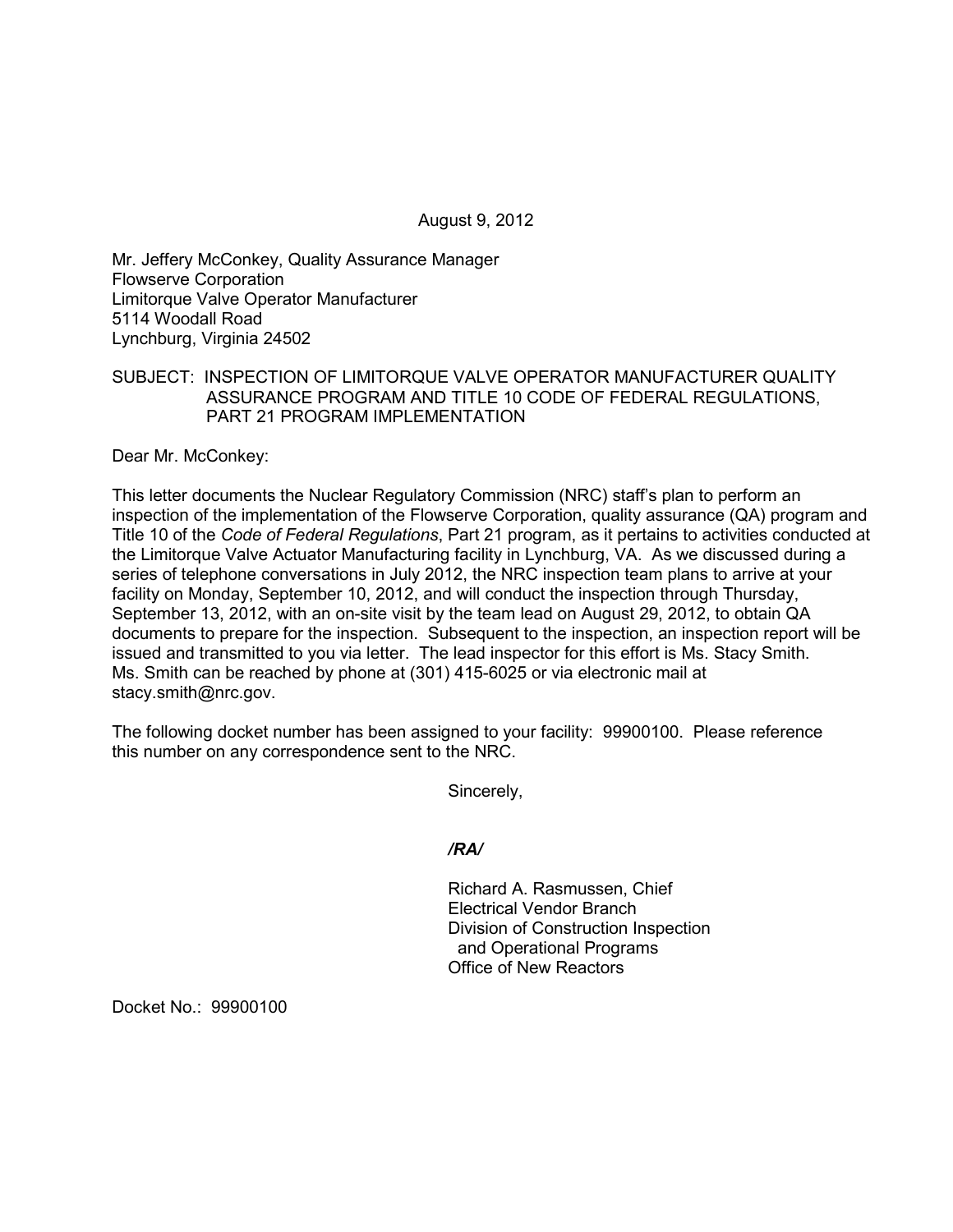August 9, 2012

Mr. Jeffery McConkey, Quality Assurance Manager Flowserve Corporation Limitorque Valve Operator Manufacturer 5114 Woodall Road Lynchburg, Virginia 24502

# SUBJECT: INSPECTION OF LIMITORQUE VALVE OPERATOR MANUFACTURER QUALITY ASSURANCE PROGRAM AND TITLE 10 CODE OF FEDERAL REGULATIONS, PART 21 PROGRAM IMPLEMENTATION

Dear Mr. McConkey:

This letter documents the Nuclear Regulatory Commission (NRC) staff's plan to perform an inspection of the implementation of the Flowserve Corporation, quality assurance (QA) program and Title 10 of the *Code of Federal Regulations*, Part 21 program, as it pertains to activities conducted at the Limitorque Valve Actuator Manufacturing facility in Lynchburg, VA. As we discussed during a series of telephone conversations in July 2012, the NRC inspection team plans to arrive at your facility on Monday, September 10, 2012, and will conduct the inspection through Thursday, September 13, 2012, with an on-site visit by the team lead on August 29, 2012, to obtain QA documents to prepare for the inspection. Subsequent to the inspection, an inspection report will be issued and transmitted to you via letter. The lead inspector for this effort is Ms. Stacy Smith. Ms. Smith can be reached by phone at (301) 415-6025 or via electronic mail at stacy.smith@nrc.gov.

The following docket number has been assigned to your facility: 99900100. Please reference this number on any correspondence sent to the NRC.

Sincerely,

*/RA/*

Richard A. Rasmussen, Chief Electrical Vendor Branch Division of Construction Inspection and Operational Programs Office of New Reactors

Docket No.: 99900100